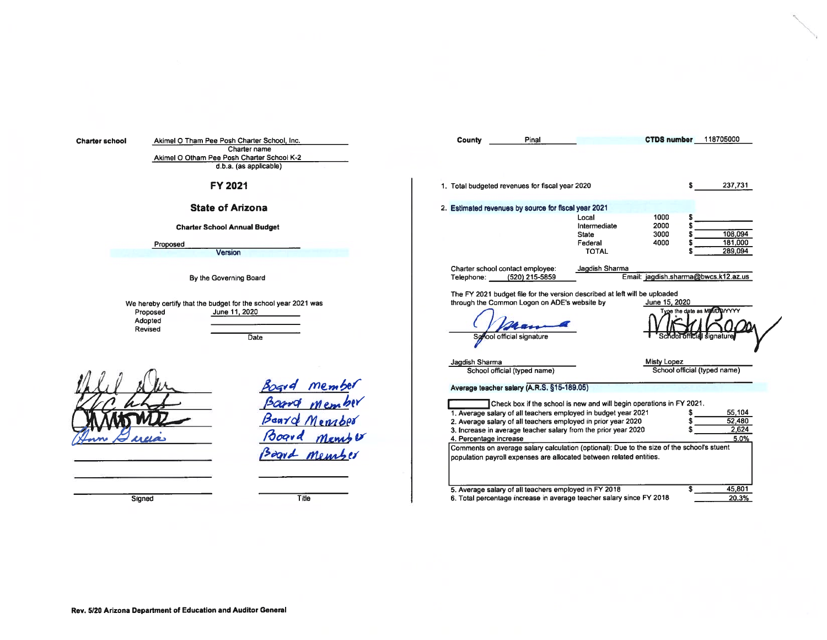| <b>Charter school</b> | Akimel O Tham Pee Posh Charter School, Inc.<br>Charter name<br>Akimel O Otham Pee Posh Charter School K-2<br>d.b.a. (as applicable) | CTDS number 118705000<br><b>County</b><br>Pinal                                                                                                                                                                                                                                                                                                                                                                                                                                                                                                                                                                                                             |
|-----------------------|-------------------------------------------------------------------------------------------------------------------------------------|-------------------------------------------------------------------------------------------------------------------------------------------------------------------------------------------------------------------------------------------------------------------------------------------------------------------------------------------------------------------------------------------------------------------------------------------------------------------------------------------------------------------------------------------------------------------------------------------------------------------------------------------------------------|
|                       | FY 2021                                                                                                                             | 1. Total budgeted revenues for fiscal year 2020<br>237,731                                                                                                                                                                                                                                                                                                                                                                                                                                                                                                                                                                                                  |
|                       | <b>State of Arizona</b><br><b>Charter School Annual Budget</b><br>Proposed<br><b>Version</b>                                        | 2. Estimated revenues by source for fiscal year 2021<br>1000<br>Local<br>2000<br>Intermediate<br>108,094<br>3000<br>State<br>181,000<br>4000<br>Federal<br>289,094<br><b>TOTAL</b>                                                                                                                                                                                                                                                                                                                                                                                                                                                                          |
|                       | By the Governing Board                                                                                                              | Jagdish Sharma<br>Charter school contact employee:<br>Email: jagdish.sharma@bwcs.k12.az.us<br>(520) 215-5859<br>Telephone:<br>The FY 2021 budget file for the version described at left will be uploaded                                                                                                                                                                                                                                                                                                                                                                                                                                                    |
|                       | We hereby certify that the budget for the school year 2021 was<br>June 11, 2020<br>Proposed<br>Adopted<br>Revised<br>Date           | through the Common Logon on ADE's website by<br>June 15, 2020<br>Type the date as MM/DD/YYYY<br>School official signature                                                                                                                                                                                                                                                                                                                                                                                                                                                                                                                                   |
|                       | membe<br>POGV <sub>q</sub><br>pros<br>Beard Member<br>Ooqva<br>Board member                                                         | Jagdish Sharma<br>Misty Lopez<br>School official (typed name)<br>School official (typed name)<br>Average teacher salary (A.R.S. §15-189.05)<br>Check box if the school is new and will begin operations in FY 2021.<br>1. Average salary of all teachers employed in budget year 2021<br>55,104<br>52,480<br>2. Average salary of all teachers employed in prior year 2020<br>2,624<br>3. Increase in average teacher salary from the prior year 2020<br>5.0%<br>4. Percentage increase<br>Comments on average salary calculation (optional): Due to the size of the school's stuent<br>population payroll expenses are allocated between related entities. |
|                       | Title<br>Signed                                                                                                                     | 45,801<br>5. Average salary of all teachers employed in FY 2018<br>6. Total percentage increase in average teacher salary since FY 2018<br>20.3%                                                                                                                                                                                                                                                                                                                                                                                                                                                                                                            |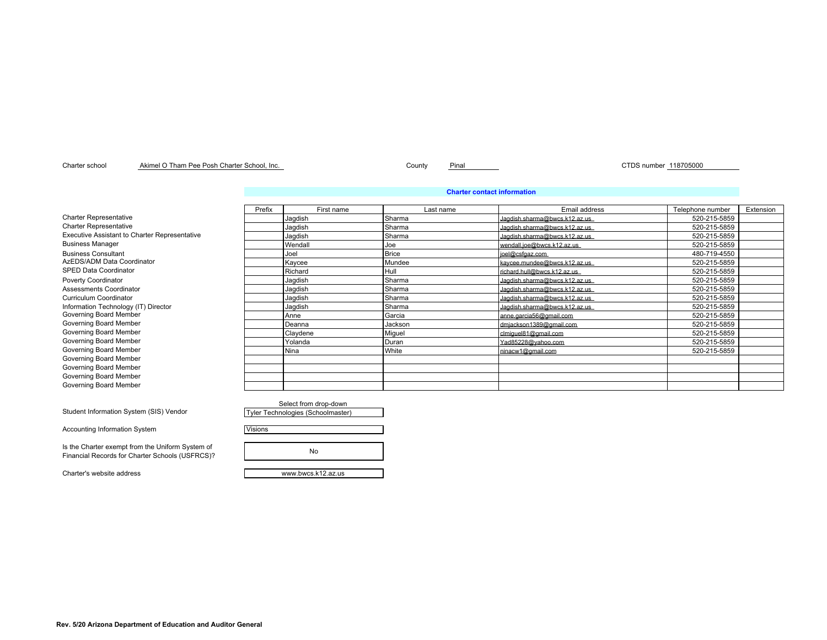### Charter school County Pinal CTDS number 118705000 Akimel O Tham Pee Posh Charter School, Inc.

### **Charter contact information**

|                                               | Prefix | First name  | Last name    | Email address                  | Telephone number | Extension |
|-----------------------------------------------|--------|-------------|--------------|--------------------------------|------------------|-----------|
| <b>Charter Representative</b>                 |        | Jagdish     | Sharma       | Jagdish.sharma@bwcs.k12.az.us  | 520-215-5859     |           |
| <b>Charter Representative</b>                 |        | Jagdish     | Sharma       | Jacdish.sharma@bwcs.k12.az.us  | 520-215-5859     |           |
| Executive Assistant to Charter Representative |        | Jagdish     | Sharma       | Jacdish.sharma@bwcs.k12.az.us  | 520-215-5859     |           |
| <b>Business Manager</b>                       |        | Wendall     | Joe          | wendall.ioe@bwcs.k12.az.us     | 520-215-5859     |           |
| <b>Business Consultant</b>                    |        | Joel        | <b>Brice</b> | ioel@csfgaz.com                | 480-719-4550     |           |
| AzEDS/ADM Data Coordinator                    |        | Kaycee      | Mundee       | kavcee.mundee@bwcs.k12.az.us   | 520-215-5859     |           |
| <b>SPED Data Coordinator</b>                  |        | Richard     | Hull         | richard.hull@bwcs.k12.az.us    | 520-215-5859     |           |
| Poverty Coordinator                           |        | Jagdish     | Sharma       | Jacdish.sharma@bwcs.k12.az.us  | 520-215-5859     |           |
| <b>Assessments Coordinator</b>                |        | Jagdish     | Sharma       | Jacolish sharma@bwcs.k12.az.us | 520-215-5859     |           |
| Curriculum Coordinator                        |        | Jagdish     | Sharma       | Jacdish.sharma@bwcs.k12.az.us  | 520-215-5859     |           |
| Information Technology (IT) Director          |        | Jagdish     | Sharma       | Jagdish.sharma@bwcs.k12.az.us  | 520-215-5859     |           |
| Governing Board Member                        |        | Anne        | Garcia       | anne.garcia56@gmail.com        | 520-215-5859     |           |
| Governing Board Member                        |        | Deanna      | Jackson      | dmiackson1389@gmail.com        | 520-215-5859     |           |
| Governing Board Member                        |        | Claydene    | Miguel       | clmiquel81@gmail.com           | 520-215-5859     |           |
| Governing Board Member                        |        | Yolanda     | Duran        | Yad85228@yahoo.com             | 520-215-5859     |           |
| Governing Board Member                        |        | <b>Nina</b> | White        | ninacw1@gmail.com              | 520-215-5859     |           |
| Governing Board Member                        |        |             |              |                                |                  |           |
| Governing Board Member                        |        |             |              |                                |                  |           |
| Governing Board Member                        |        |             |              |                                |                  |           |
| Governing Board Member                        |        |             |              |                                |                  |           |

| Select from drop-down             |  |
|-----------------------------------|--|
| Tyler Technologies (Schoolmaster) |  |

Visions

No

Charter's website address www.bwcs.k12.az.us

Student Information System (SIS) Vendor

Accounting Information System

Is the Charter exempt from the Uniform System of Financial Records for Charter Schools (USFRCS)?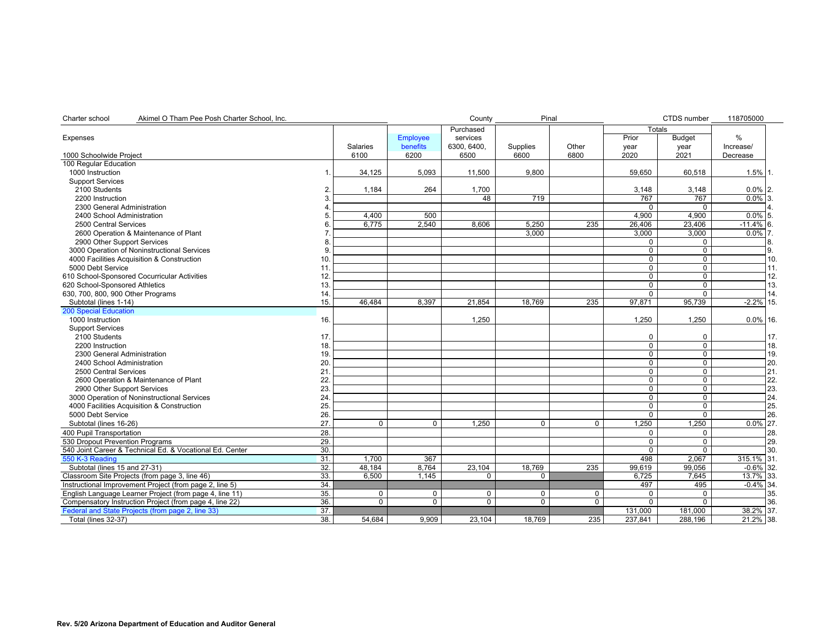| Charter school<br>Akimel O Tham Pee Posh Charter School, Inc. |                |                 |                 | County      | Pinal          |                |               | CTDS number    | 118705000    |     |
|---------------------------------------------------------------|----------------|-----------------|-----------------|-------------|----------------|----------------|---------------|----------------|--------------|-----|
|                                                               |                |                 |                 | Purchased   |                |                | <b>Totals</b> |                |              |     |
| Expenses                                                      |                |                 | <b>Employee</b> | services    |                |                | Prior         | <b>Budget</b>  | %            |     |
|                                                               |                | <b>Salaries</b> | benefits        | 6300.6400.  | Supplies       | Other          | year          | year           | Increase/    |     |
| 1000 Schoolwide Project                                       | 6100           |                 | 6200            | 6500        | 6600           | 6800           | 2020          | 2021           | Decrease     |     |
| 100 Regular Education                                         |                |                 |                 |             |                |                |               |                |              |     |
| 1000 Instruction                                              | 1              | 34,125          | 5,093           | 11,500      | 9,800          |                | 59,650        | 60,518         | $1.5\%$ 1.   |     |
| <b>Support Services</b>                                       |                |                 |                 |             |                |                |               |                |              |     |
| 2100 Students                                                 | $\overline{2}$ | 1,184           | 264             | 1,700       |                |                | 3,148         | 3,148          | $0.0\%$ 2.   |     |
| 2200 Instruction                                              |                |                 |                 | 48          | 719            |                | 767           | 767            | $0.0\%$ 3.   |     |
| 2300 General Administration                                   |                |                 |                 |             |                |                | $\Omega$      | $\Omega$       |              |     |
| 2400 School Administration                                    |                | 4.400           | 500             |             |                |                | 4.900         | 4.900          | $0.0\%$ 5.   |     |
| 2500 Central Services                                         |                | 6.775           | 2.540           | 8.606       | 5.250          | 235            | 26,406        | 23,406         | $-11.4\%$ 6. |     |
| 2600 Operation & Maintenance of Plant                         |                |                 |                 |             | 3.000          |                | 3,000         | 3.000          | $0.0\%$ 7.   |     |
| 2900 Other Support Services                                   |                |                 |                 |             |                |                | 0             | $\mathbf 0$    |              |     |
| 3000 Operation of Noninstructional Services                   |                |                 |                 |             |                |                | $\Omega$      | $\overline{0}$ |              | 9.  |
| 4000 Facilities Acquisition & Construction                    | 10             |                 |                 |             |                |                | 0             | $\mathbf 0$    |              | 10. |
| 5000 Debt Service                                             | 11             |                 |                 |             |                |                | $\Omega$      | $\mathbf 0$    |              | 11. |
| 610 School-Sponsored Cocurricular Activities                  | 12             |                 |                 |             |                |                | 0             | $\overline{0}$ |              | 12. |
| 620 School-Sponsored Athletics                                | 13             |                 |                 |             |                |                | 0             | $\mathbf 0$    |              | 13. |
| 630, 700, 800, 900 Other Programs                             | 14             |                 |                 |             |                |                | U             | $\Omega$       |              | 14. |
| Subtotal (lines 1-14)                                         | 15.            | 46,484          | 8,397           | 21,854      | 18,769         | 235            | 97.871        | 95,739         | $-2.2\%$ 15. |     |
| <b>200 Special Education</b>                                  |                |                 |                 |             |                |                |               |                |              |     |
| 1000 Instruction                                              | 16.            |                 |                 | 1,250       |                |                | 1,250         | 1,250          | $0.0\%$ 16.  |     |
| <b>Support Services</b>                                       |                |                 |                 |             |                |                |               |                |              |     |
| 2100 Students                                                 | 17             |                 |                 |             |                |                | 0             | $\Omega$       |              | 17. |
| 2200 Instruction                                              | 18             |                 |                 |             |                |                | 0             | $\pmb{0}$      |              | 18. |
| 2300 General Administration                                   | 19             |                 |                 |             |                |                | $\Omega$      | $\mathbf 0$    |              | 19. |
| 2400 School Administration                                    | 20             |                 |                 |             |                |                | $\Omega$      | $\mathbf 0$    |              | 20. |
| 2500 Central Services                                         | 21             |                 |                 |             |                |                | 0             | $\mathbf 0$    |              | 21. |
| 2600 Operation & Maintenance of Plant                         | 22             |                 |                 |             |                |                | 0             | $\mathbf 0$    |              | 22. |
| 2900 Other Support Services                                   | 23             |                 |                 |             |                |                | 0             | $\overline{0}$ |              | 23. |
| 3000 Operation of Noninstructional Services                   | 24             |                 |                 |             |                |                | 0             | $\overline{0}$ |              | 24. |
| 4000 Facilities Acquisition & Construction                    | 25             |                 |                 |             |                |                | 0             | 0              |              | 25. |
| 5000 Debt Service                                             | 26             |                 |                 |             |                |                | $\Omega$      | $\overline{0}$ |              | 26. |
| Subtotal (lines 16-26)                                        | 27             | $\Omega$        | $\mathbf 0$     | 1,250       | $\Omega$       | $\Omega$       | 1,250         | 1,250          | $0.0\%$ 27.  |     |
| 400 Pupil Transportation                                      | 28.            |                 |                 |             |                |                | 0             | 0              |              | 28. |
| 530 Dropout Prevention Programs                               | 29.            |                 |                 |             |                |                | 0             | $\mathbf 0$    |              | 29. |
| 540 Joint Career & Technical Ed. & Vocational Ed. Center      | 30.            |                 |                 |             |                |                | $\Omega$      | $\Omega$       |              | 30. |
| 550 K-3 Reading                                               | 31             | 1.700           | 367             |             |                |                | 498           | 2,067          | 315.1% 31.   |     |
| Subtotal (lines 15 and 27-31)                                 | 32.            | 48,184          | 8,764           | 23,104      | 18,769         | 235            | 99,619        | 99,056         | $-0.6\%$ 32. |     |
| Classroom Site Projects (from page 3, line 46)                | 33.            | 6.500           | 1.145           | 0           | 0              |                | 6.725         | 7.645          | 13.7% 33.    |     |
| Instructional Improvement Project (from page 2, line 5)       | 34.            |                 |                 |             |                |                | 497           | 495            | $-0.4\%$ 34. |     |
| English Language Learner Project (from page 4, line 11)       | 35.            | 0               | 0               | $\mathbf 0$ | $\mathbf 0$    | $\mathbf 0$    | $\Omega$      | $\mathbf 0$    |              | 35. |
| Compensatory Instruction Project (from page 4, line 22)       | 36.            | $\overline{0}$  | $\overline{0}$  | $\Omega$    | $\overline{0}$ | $\overline{0}$ | $\Omega$      | $\Omega$       |              | 36. |
| Federal and State Projects (from page 2, line 33)             | 37.            |                 |                 |             |                |                | 131,000       | 181,000        | 38.2% 37.    |     |
| <b>Total (lines 32-37)</b>                                    | 38.            | 54,684          | 9.909           | 23.104      | 18,769         | 235            | 237,841       | 288.196        | 21.2% 38.    |     |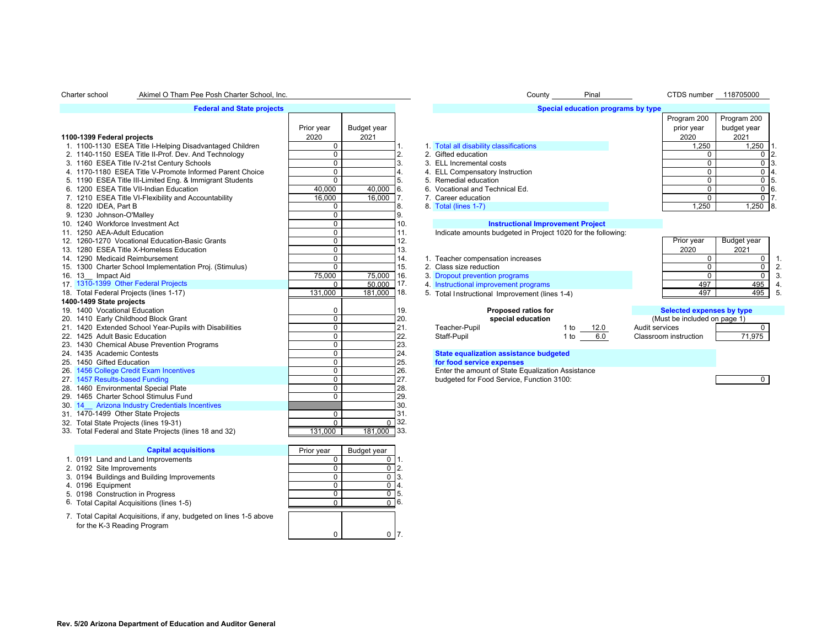### Charter school Akimel O Tham Pee Posh Charter School, Inc. Notice that the County County County County Pinal CTDS number 118705000

## **Federal and State projects**

|                                                          | Prior year     | Budget year     |     |                                                   |                                                              | prior year                       | budget ye        |
|----------------------------------------------------------|----------------|-----------------|-----|---------------------------------------------------|--------------------------------------------------------------|----------------------------------|------------------|
| 1100-1399 Federal projects                               | 2020           | 2021            |     |                                                   |                                                              | 2020                             | 2021             |
| 1. 1100-1130 ESEA Title I-Helping Disadvantaged Children | $\Omega$       |                 |     | 1. Total all disability classifications           |                                                              | 1,250                            | 1,               |
| 2. 1140-1150 ESEA Title II-Prof. Dev. And Technology     | $\Omega$       |                 | 2.  | 2. Gifted education                               |                                                              | 0                                |                  |
| 3. 1160 ESEA Title IV-21st Century Schools               | $\Omega$       |                 | 3.  | 3. ELL Incremental costs                          |                                                              | $\mathbf{0}$                     |                  |
| 4. 1170-1180 ESEA Title V-Promote Informed Parent Choice | $\mathbf 0$    |                 |     | 4. ELL Compensatory Instruction                   |                                                              | $\mathbf 0$                      |                  |
| 5. 1190 ESEA Title III-Limited Eng. & Immigrant Students | $\Omega$       |                 |     | 5. Remedial education                             |                                                              | $\mathbf 0$                      |                  |
| 6. 1200 ESEA Title VII-Indian Education                  | 40,000         | 40,000          | 6.  | 6. Vocational and Technical Ed.                   |                                                              | $\mathbf 0$                      |                  |
| 7. 1210 ESEA Title VI-Flexibility and Accountability     | 16,000         | 16,000          |     | 7. Career education                               |                                                              | $\mathbf 0$                      |                  |
| 8. 1220 IDEA, Part B                                     | $\Omega$       |                 | 8.  | 8. Total (lines 1-7)                              |                                                              | 1,250                            | $\mathbf{1}$     |
| 9. 1230 Johnson-O'Malley                                 | $\Omega$       |                 | 9.  |                                                   |                                                              |                                  |                  |
| 10. 1240 Workforce Investment Act                        | $\Omega$       |                 | 10. |                                                   | <b>Instructional Improvement Project</b>                     |                                  |                  |
| 11. 1250 AEA-Adult Education                             | $\Omega$       |                 | 11. |                                                   | Indicate amounts budgeted in Project 1020 for the following: |                                  |                  |
| 12. 1260-1270 Vocational Education-Basic Grants          | $\Omega$       |                 | 12. |                                                   |                                                              | Prior year                       | <b>Budget ye</b> |
| 13. 1280 ESEA Title X-Homeless Education                 | $\Omega$       |                 | 13. |                                                   |                                                              | 2020                             | 2021             |
| 14. 1290 Medicaid Reimbursement                          | $\Omega$       |                 | 14. | 1. Teacher compensation increases                 |                                                              | $\mathbf{0}$                     |                  |
| 15. 1300 Charter School Implementation Proj. (Stimulus)  | $\Omega$       |                 | 15. | 2. Class size reduction                           |                                                              | 0                                |                  |
| 16. 13 Impact Aid                                        | 75,000         | 75,000          | 16. | 3. Dropout prevention programs                    |                                                              | $\Omega$                         |                  |
| 17. 1310-1399 Other Federal Projects                     | $\Omega$       | 50.000          | 17. | 4. Instructional improvement programs             |                                                              | 497                              |                  |
| 18. Total Federal Projects (lines 1-17)                  | 131,000        | 181,000         | 18. | 5. Total Instructional Improvement (lines 1-4)    |                                                              | 497                              |                  |
| 1400-1499 State projects                                 |                |                 |     |                                                   |                                                              |                                  |                  |
| 19. 1400 Vocational Education                            | 0              |                 | 19. |                                                   | <b>Proposed ratios for</b>                                   | <b>Selected expenses by type</b> |                  |
| 20. 1410 Early Childhood Block Grant                     | $\mathbf 0$    |                 | 20. |                                                   | special education                                            | (Must be included on page 1)     |                  |
| 21. 1420 Extended School Year-Pupils with Disabilities   | $\Omega$       |                 | 21. | Teacher-Pupil                                     | 1 to<br>12.0                                                 | Audit services                   |                  |
| 22. 1425 Adult Basic Education                           | $\mathbf 0$    |                 | 22. | Staff-Pupil                                       | 6.0<br>1 to                                                  | Classroom instruction            | 71,              |
| 23. 1430 Chemical Abuse Prevention Programs              | $\mathbf 0$    |                 | 23. |                                                   |                                                              |                                  |                  |
| 24. 1435 Academic Contests                               | $\Omega$       |                 | 24. | <b>State equalization assistance budgeted</b>     |                                                              |                                  |                  |
| 25. 1450 Gifted Education                                | $\Omega$       |                 | 25. | for food service expenses                         |                                                              |                                  |                  |
| 26. 1456 College Credit Exam Incentives                  | $\overline{0}$ |                 | 26. | Enter the amount of State Equalization Assistance |                                                              |                                  |                  |
| 27. 1457 Results-based Funding                           | $\Omega$       |                 | 27. | budgeted for Food Service, Function 3100:         |                                                              |                                  |                  |
| 28. 1460 Environmental Special Plate                     | $\Omega$       |                 | 28. |                                                   |                                                              |                                  |                  |
| 29. 1465 Charter School Stimulus Fund                    | $\Omega$       |                 | 29. |                                                   |                                                              |                                  |                  |
| 30. 14 Arizona Industry Credentials Incentives           |                |                 | 30. |                                                   |                                                              |                                  |                  |
| 31. 1470-1499 Other State Projects                       | $\Omega$       |                 | 31. |                                                   |                                                              |                                  |                  |
| 32. Total State Projects (lines 19-31)                   | $\Omega$       | $\Omega$        | 32  |                                                   |                                                              |                                  |                  |
| 33. Total Federal and State Projects (lines 18 and 32)   | 131.000        | 181.000         | 33. |                                                   |                                                              |                                  |                  |
|                                                          |                |                 |     |                                                   |                                                              |                                  |                  |
| <b>Capital acquisitions</b>                              | Prior year     | Budget year     |     |                                                   |                                                              |                                  |                  |
| 1 0101 Land and Land Improvements                        | $\Omega$       | 0 <sup>11</sup> |     |                                                   |                                                              |                                  |                  |

| <b>Capital acquisitions</b>                                                                       | Prior year | Budget year |      |
|---------------------------------------------------------------------------------------------------|------------|-------------|------|
| 1. 0191 Land and Land Improvements                                                                |            |             | l 1. |
| 2. 0192 Site Improvements                                                                         |            |             | 2.   |
| 3. 0194 Buildings and Building Improvements                                                       |            |             | 13.  |
| 4. 0196 Equipment                                                                                 |            |             | 14.  |
| 5. 0198 Construction in Progress                                                                  |            |             | 15.  |
| 6. Total Capital Acquisitions (lines 1-5)                                                         |            |             | 16.  |
| 7. Total Capital Acquisitions, if any, budgeted on lines 1-5 above<br>for the K-3 Reading Program |            |             |      |

|                                                          | Prior year | Budget year |                                                              | prior year | budget year |  |
|----------------------------------------------------------|------------|-------------|--------------------------------------------------------------|------------|-------------|--|
| 100-1399 Federal projects                                | 2020       | 2021        |                                                              | 2020       | 2021        |  |
| 1. 1100-1130 ESEA Title I-Helping Disadvantaged Children |            |             | 1. Total all disability classifications                      | 1,250      | 1,250       |  |
| 2. 1140-1150 ESEA Title II-Prof. Dev. And Technology     |            |             | 2. Gifted education                                          |            |             |  |
| 3. 1160 ESEA Title IV-21st Century Schools               |            |             | 3. ELL Incremental costs                                     |            |             |  |
| 4. 1170-1180 ESEA Title V-Promote Informed Parent Choice |            |             | 4. ELL Compensatory Instruction                              |            |             |  |
| 5. 1190 ESEA Title III-Limited Eng. & Immigrant Students |            |             | 5. Remedial education                                        |            |             |  |
| 6. 1200 ESEA Title VII-Indian Education                  | 40.000     | 40.000 6.   | 6. Vocational and Technical Ed.                              |            |             |  |
| 7. 1210 ESEA Title VI-Flexibility and Accountability     | 16.000     | 16.000      | 7. Career education                                          |            |             |  |
| 8. 1220 IDEA. Part B                                     |            |             | 8. Total (lines 1-7)                                         | 1.250      | $1,250$ 8.  |  |
| 9. 1230 Johnson-O'Mallev                                 |            |             |                                                              |            |             |  |
| 0. 1240 Workforce Investment Act                         |            |             | <b>Instructional Improvement Project</b>                     |            |             |  |
| 1. 1250 AEA-Adult Education                              |            |             | Indicate amounts budgeted in Project 1020 for the following: |            |             |  |
| 2. 1260-1270 Vocational Education-Basic Grants           |            |             |                                                              | Prior year | Budget year |  |
| 3 1280 ESEA Title X-Homeless Education                   |            |             |                                                              | 2020       | 2021        |  |

**Special education programs by type**

|                                                         |        |         |    |                                | --- | ---- |  |
|---------------------------------------------------------|--------|---------|----|--------------------------------|-----|------|--|
| 14. 1290 Medicaid Reimbursement                         |        |         |    | Teacher compensation increases |     |      |  |
| 15. 1300 Charter School Implementation Proj. (Stimulus) |        |         |    | Class size reduction           |     |      |  |
| 16. 13<br>Impact Aid                                    | 75.000 | 75,000  | 16 | . Dropout prevention programs  |     |      |  |
|                                                         |        | _______ |    |                                |     |      |  |

| 20. 1410 Early Childhood Block Grant               |  | special education |      | (Must be included on page 1) |        |
|----------------------------------------------------|--|-------------------|------|------------------------------|--------|
| 1420 Extended School Year-Pupils with Disabilities |  | Teacher-Pupil     | 12.0 | udit services                |        |
| 22. 1425 Adult Basic Education                     |  | Staff-Pupil       | 6.0  | Classroom instruction_       | 71.975 |
| .                                                  |  |                   |      |                              |        |

| Prior year | Budget year |    |
|------------|-------------|----|
| 2020       | 2021        |    |
|            |             |    |
|            |             | 2. |
|            |             | 3. |
| 497        | 495         |    |
|            |             | 5. |

Program 200

Program 200

| oposed ratios for                                |              | Selected expenses by type    |        |
|--------------------------------------------------|--------------|------------------------------|--------|
| pecial education                                 |              | (Must be included on page 1) |        |
|                                                  | 1 to<br>12.0 | Audit services               |        |
|                                                  | 1 to<br>6.0  | Classroom instruction        | 71.975 |
| assistance budgeted                              |              |                              |        |
|                                                  |              |                              |        |
| <b>xpenses</b>                                   |              |                              |        |
| of State Equalization Assistance                 |              |                              |        |
| $\sim$ $\sim$ $\sim$ $\sim$ $\sim$ $\sim$ $\sim$ |              |                              |        |

Budget year 2021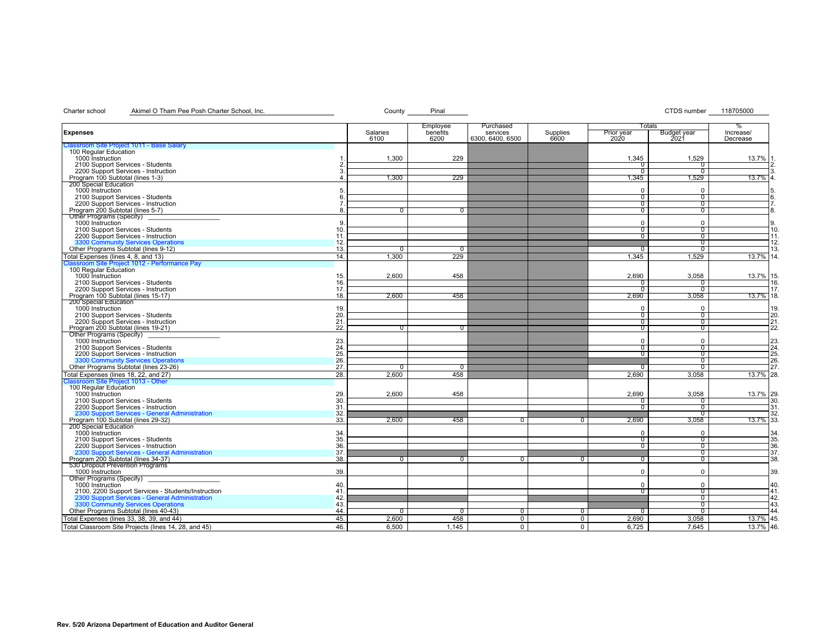# Charter school Akimel O Tham Pee Posh Charter School, Inc. Charter School, Inc. County Pinal County Pinal CTDS number 118705000

| Salaries<br>benefits<br>services<br>Supplies<br>Prior year<br><b>Expenses</b><br><b>Budget year</b><br>Increase/<br>2020<br>6100<br>6200<br>6300, 6400, 6500<br>6600<br>2021<br>Decrease<br>Classroom Site Project 1011 - Base Salary<br>100 Regular Education<br>1000 Instruction<br>229<br>1,300<br>1.345<br>1,529<br>13.7%<br>2100 Support Services - Students<br>n<br>0<br>2200 Support Services - Instruction<br>$\Omega$<br>$^{\circ}$<br>Program 100 Subtotal (lines 1-3)<br>229<br>1,300<br>1,345<br>1,529<br>200 Special Education<br>1000 Instruction<br>$\Omega$<br>$\Omega$<br>2100 Support Services - Students<br>$\sigma$<br>$^{\rm o}$<br>2200 Support Services - Instruction<br>0<br>$\overline{0}$<br>Program 200 Subtotal (lines 5-7)<br>0<br>$\sigma$<br>$^{\rm o}$<br>8<br>$^{\circ}$<br>Other Programs (Specify)<br>1000 Instruction<br>9<br>$\Omega$<br>$\Omega$<br>2100 Support Services - Students<br>10<br>$\overline{0}$<br>0<br>2200 Support Services - Instruction<br>11.<br>$^{\rm o}$<br>$^{\rm o}$<br>3300 Community Services Operations<br>12.<br>$^{\rm o}$<br>Other Programs Subtotal (lines 9-12)<br>13.<br>n<br>$^{\circ}$<br>$^{\rm o}$<br>Total Expenses (lines 4, 8, and 13)<br>14.<br>1.300<br>229<br>1.345<br>1.529<br>Classroom Site Project 1012 - Performance Pay<br>_ 100 Regular Education<br>2.600<br>2.690<br>13.7% 15.<br>1000 Instruction<br>15.<br>458<br>3.058<br>2100 Support Services - Students<br>16.<br>$^{(1)}$<br>2200 Support Services - Instruction<br>17.<br>$\sigma$<br>$^{\rm o}$<br>Program 100 Subtotal (lines 15-17)<br>18.<br>2,600<br>458<br>2,690<br>3,058<br>13.7% 18.<br>200 Special Education<br>1000 Instruction<br>19.<br>$\Omega$<br>$\Omega$<br>2100 Support Services - Students<br>20<br>$\sigma$<br>᠐<br>2200 Support Services - Instruction<br>21<br>$^{\circ}$<br>0<br>Program 200 Subtotal (lines 19-21)<br>22.<br>$\sigma$<br>0<br>$^{\rm o}$<br>$\Omega$<br>Other Programs (Specify)<br>1000 Instruction<br>23.<br>$\Omega$<br>$\Omega$<br>24<br>2100 Support Services - Students<br>$\overline{0}$<br>$\overline{0}$<br>25.<br>2200 Support Services - Instruction<br>$^{\circ}$<br>᠐<br>3300 Community Services Operations<br>26.<br>0<br>27.<br>Other Programs Subtotal (lines 23-26)<br>$^{\rm o}$<br>$\overline{0}$<br>$\overline{0}$<br>$^{\rm o}$<br>Total Expenses (lines 18, 22, and 27)<br>28.<br>2.600<br>458<br>2,690<br>3,058<br>Classroom Site Project 1013 - Other<br>100 Regular Education<br>1000 Instruction<br>$\frac{29}{30}$<br>2.600<br>458<br>2.690<br>3.058<br>13.7% 29.<br>2100 Support Services - Students<br>$^{\circ}$<br>0<br>2200 Support Services - Instruction<br>31<br>᠐<br>$^{\rm o}$<br>2300 Support Services - General Administration<br>32.<br>$^{\rm o}$<br>Program 100 Subtotal (lines 29-32)<br>33.<br>2,600<br>2,690<br>13.7% 33.<br>458<br>3,058<br>$^{\circ}$<br>0<br>200 Special Education<br>1000 Instruction<br>34<br>$\Omega$<br>$\Omega$<br>35.<br>2100 Support Services - Students<br>$\overline{0}$<br>0<br>36<br>2200 Support Services - Instruction<br>᠐<br>$^{\circ}$<br>2300 Support Services - General Administration<br>37<br>$^{\circ}$<br>Program 200 Subtotal (lines 34-37)<br>38.<br>$^{\rm o}$<br>n<br>$^{\circ}$<br>0<br>$^{\rm o}$<br>$\mathbf{0}$<br>530 Dropout Prevention Programs<br>39.<br>1000 Instruction<br>$\Omega$<br>$\Omega$<br>Other Programs (Specify)<br>40<br>$\Omega$<br>$\Omega$<br>1000 Instruction<br>2100, 2200 Support Services - Students/Instruction<br>41<br>$\overline{0}$<br>$^{\circ}$<br>2300 Support Services - General Administration<br>42<br>᠐<br>3300 Community Services Operations<br>43<br>$^{\rm o}$<br>Other Programs Subtotal (lines 40-43)<br>44<br>0<br>᠐<br>$^{\circ}$<br>0<br>$\sigma$<br>$^{\circ}$ |                                           |     |       | Employee | Purchased      |                | Totals |       | %           |
|----------------------------------------------------------------------------------------------------------------------------------------------------------------------------------------------------------------------------------------------------------------------------------------------------------------------------------------------------------------------------------------------------------------------------------------------------------------------------------------------------------------------------------------------------------------------------------------------------------------------------------------------------------------------------------------------------------------------------------------------------------------------------------------------------------------------------------------------------------------------------------------------------------------------------------------------------------------------------------------------------------------------------------------------------------------------------------------------------------------------------------------------------------------------------------------------------------------------------------------------------------------------------------------------------------------------------------------------------------------------------------------------------------------------------------------------------------------------------------------------------------------------------------------------------------------------------------------------------------------------------------------------------------------------------------------------------------------------------------------------------------------------------------------------------------------------------------------------------------------------------------------------------------------------------------------------------------------------------------------------------------------------------------------------------------------------------------------------------------------------------------------------------------------------------------------------------------------------------------------------------------------------------------------------------------------------------------------------------------------------------------------------------------------------------------------------------------------------------------------------------------------------------------------------------------------------------------------------------------------------------------------------------------------------------------------------------------------------------------------------------------------------------------------------------------------------------------------------------------------------------------------------------------------------------------------------------------------------------------------------------------------------------------------------------------------------------------------------------------------------------------------------------------------------------------------------------------------------------------------------------------------------------------------------------------------------------------------------------------------------------------------------------------------------------------------------------------------------------------------------------------------------------------------------------------------------------------------------------------------------------------------------------------------------------------------------------------------------------------------------------------------------------------------------------|-------------------------------------------|-----|-------|----------|----------------|----------------|--------|-------|-------------|
|                                                                                                                                                                                                                                                                                                                                                                                                                                                                                                                                                                                                                                                                                                                                                                                                                                                                                                                                                                                                                                                                                                                                                                                                                                                                                                                                                                                                                                                                                                                                                                                                                                                                                                                                                                                                                                                                                                                                                                                                                                                                                                                                                                                                                                                                                                                                                                                                                                                                                                                                                                                                                                                                                                                                                                                                                                                                                                                                                                                                                                                                                                                                                                                                                                                                                                                                                                                                                                                                                                                                                                                                                                                                                                                                                                                                    |                                           |     |       |          |                |                |        |       |             |
|                                                                                                                                                                                                                                                                                                                                                                                                                                                                                                                                                                                                                                                                                                                                                                                                                                                                                                                                                                                                                                                                                                                                                                                                                                                                                                                                                                                                                                                                                                                                                                                                                                                                                                                                                                                                                                                                                                                                                                                                                                                                                                                                                                                                                                                                                                                                                                                                                                                                                                                                                                                                                                                                                                                                                                                                                                                                                                                                                                                                                                                                                                                                                                                                                                                                                                                                                                                                                                                                                                                                                                                                                                                                                                                                                                                                    |                                           |     |       |          |                |                |        |       |             |
|                                                                                                                                                                                                                                                                                                                                                                                                                                                                                                                                                                                                                                                                                                                                                                                                                                                                                                                                                                                                                                                                                                                                                                                                                                                                                                                                                                                                                                                                                                                                                                                                                                                                                                                                                                                                                                                                                                                                                                                                                                                                                                                                                                                                                                                                                                                                                                                                                                                                                                                                                                                                                                                                                                                                                                                                                                                                                                                                                                                                                                                                                                                                                                                                                                                                                                                                                                                                                                                                                                                                                                                                                                                                                                                                                                                                    |                                           |     |       |          |                |                |        |       |             |
|                                                                                                                                                                                                                                                                                                                                                                                                                                                                                                                                                                                                                                                                                                                                                                                                                                                                                                                                                                                                                                                                                                                                                                                                                                                                                                                                                                                                                                                                                                                                                                                                                                                                                                                                                                                                                                                                                                                                                                                                                                                                                                                                                                                                                                                                                                                                                                                                                                                                                                                                                                                                                                                                                                                                                                                                                                                                                                                                                                                                                                                                                                                                                                                                                                                                                                                                                                                                                                                                                                                                                                                                                                                                                                                                                                                                    |                                           |     |       |          |                |                |        |       | 2           |
|                                                                                                                                                                                                                                                                                                                                                                                                                                                                                                                                                                                                                                                                                                                                                                                                                                                                                                                                                                                                                                                                                                                                                                                                                                                                                                                                                                                                                                                                                                                                                                                                                                                                                                                                                                                                                                                                                                                                                                                                                                                                                                                                                                                                                                                                                                                                                                                                                                                                                                                                                                                                                                                                                                                                                                                                                                                                                                                                                                                                                                                                                                                                                                                                                                                                                                                                                                                                                                                                                                                                                                                                                                                                                                                                                                                                    |                                           |     |       |          |                |                |        |       |             |
|                                                                                                                                                                                                                                                                                                                                                                                                                                                                                                                                                                                                                                                                                                                                                                                                                                                                                                                                                                                                                                                                                                                                                                                                                                                                                                                                                                                                                                                                                                                                                                                                                                                                                                                                                                                                                                                                                                                                                                                                                                                                                                                                                                                                                                                                                                                                                                                                                                                                                                                                                                                                                                                                                                                                                                                                                                                                                                                                                                                                                                                                                                                                                                                                                                                                                                                                                                                                                                                                                                                                                                                                                                                                                                                                                                                                    |                                           |     |       |          |                |                |        |       | $13.7\%$ 4. |
|                                                                                                                                                                                                                                                                                                                                                                                                                                                                                                                                                                                                                                                                                                                                                                                                                                                                                                                                                                                                                                                                                                                                                                                                                                                                                                                                                                                                                                                                                                                                                                                                                                                                                                                                                                                                                                                                                                                                                                                                                                                                                                                                                                                                                                                                                                                                                                                                                                                                                                                                                                                                                                                                                                                                                                                                                                                                                                                                                                                                                                                                                                                                                                                                                                                                                                                                                                                                                                                                                                                                                                                                                                                                                                                                                                                                    |                                           |     |       |          |                |                |        |       |             |
|                                                                                                                                                                                                                                                                                                                                                                                                                                                                                                                                                                                                                                                                                                                                                                                                                                                                                                                                                                                                                                                                                                                                                                                                                                                                                                                                                                                                                                                                                                                                                                                                                                                                                                                                                                                                                                                                                                                                                                                                                                                                                                                                                                                                                                                                                                                                                                                                                                                                                                                                                                                                                                                                                                                                                                                                                                                                                                                                                                                                                                                                                                                                                                                                                                                                                                                                                                                                                                                                                                                                                                                                                                                                                                                                                                                                    |                                           |     |       |          |                |                |        |       | 5           |
|                                                                                                                                                                                                                                                                                                                                                                                                                                                                                                                                                                                                                                                                                                                                                                                                                                                                                                                                                                                                                                                                                                                                                                                                                                                                                                                                                                                                                                                                                                                                                                                                                                                                                                                                                                                                                                                                                                                                                                                                                                                                                                                                                                                                                                                                                                                                                                                                                                                                                                                                                                                                                                                                                                                                                                                                                                                                                                                                                                                                                                                                                                                                                                                                                                                                                                                                                                                                                                                                                                                                                                                                                                                                                                                                                                                                    |                                           |     |       |          |                |                |        |       | 6.          |
|                                                                                                                                                                                                                                                                                                                                                                                                                                                                                                                                                                                                                                                                                                                                                                                                                                                                                                                                                                                                                                                                                                                                                                                                                                                                                                                                                                                                                                                                                                                                                                                                                                                                                                                                                                                                                                                                                                                                                                                                                                                                                                                                                                                                                                                                                                                                                                                                                                                                                                                                                                                                                                                                                                                                                                                                                                                                                                                                                                                                                                                                                                                                                                                                                                                                                                                                                                                                                                                                                                                                                                                                                                                                                                                                                                                                    |                                           |     |       |          |                |                |        |       | 7.          |
|                                                                                                                                                                                                                                                                                                                                                                                                                                                                                                                                                                                                                                                                                                                                                                                                                                                                                                                                                                                                                                                                                                                                                                                                                                                                                                                                                                                                                                                                                                                                                                                                                                                                                                                                                                                                                                                                                                                                                                                                                                                                                                                                                                                                                                                                                                                                                                                                                                                                                                                                                                                                                                                                                                                                                                                                                                                                                                                                                                                                                                                                                                                                                                                                                                                                                                                                                                                                                                                                                                                                                                                                                                                                                                                                                                                                    |                                           |     |       |          |                |                |        |       | 8.          |
|                                                                                                                                                                                                                                                                                                                                                                                                                                                                                                                                                                                                                                                                                                                                                                                                                                                                                                                                                                                                                                                                                                                                                                                                                                                                                                                                                                                                                                                                                                                                                                                                                                                                                                                                                                                                                                                                                                                                                                                                                                                                                                                                                                                                                                                                                                                                                                                                                                                                                                                                                                                                                                                                                                                                                                                                                                                                                                                                                                                                                                                                                                                                                                                                                                                                                                                                                                                                                                                                                                                                                                                                                                                                                                                                                                                                    |                                           |     |       |          |                |                |        |       | 9.          |
|                                                                                                                                                                                                                                                                                                                                                                                                                                                                                                                                                                                                                                                                                                                                                                                                                                                                                                                                                                                                                                                                                                                                                                                                                                                                                                                                                                                                                                                                                                                                                                                                                                                                                                                                                                                                                                                                                                                                                                                                                                                                                                                                                                                                                                                                                                                                                                                                                                                                                                                                                                                                                                                                                                                                                                                                                                                                                                                                                                                                                                                                                                                                                                                                                                                                                                                                                                                                                                                                                                                                                                                                                                                                                                                                                                                                    |                                           |     |       |          |                |                |        |       | 10          |
|                                                                                                                                                                                                                                                                                                                                                                                                                                                                                                                                                                                                                                                                                                                                                                                                                                                                                                                                                                                                                                                                                                                                                                                                                                                                                                                                                                                                                                                                                                                                                                                                                                                                                                                                                                                                                                                                                                                                                                                                                                                                                                                                                                                                                                                                                                                                                                                                                                                                                                                                                                                                                                                                                                                                                                                                                                                                                                                                                                                                                                                                                                                                                                                                                                                                                                                                                                                                                                                                                                                                                                                                                                                                                                                                                                                                    |                                           |     |       |          |                |                |        |       | [11.        |
|                                                                                                                                                                                                                                                                                                                                                                                                                                                                                                                                                                                                                                                                                                                                                                                                                                                                                                                                                                                                                                                                                                                                                                                                                                                                                                                                                                                                                                                                                                                                                                                                                                                                                                                                                                                                                                                                                                                                                                                                                                                                                                                                                                                                                                                                                                                                                                                                                                                                                                                                                                                                                                                                                                                                                                                                                                                                                                                                                                                                                                                                                                                                                                                                                                                                                                                                                                                                                                                                                                                                                                                                                                                                                                                                                                                                    |                                           |     |       |          |                |                |        |       | 12.         |
|                                                                                                                                                                                                                                                                                                                                                                                                                                                                                                                                                                                                                                                                                                                                                                                                                                                                                                                                                                                                                                                                                                                                                                                                                                                                                                                                                                                                                                                                                                                                                                                                                                                                                                                                                                                                                                                                                                                                                                                                                                                                                                                                                                                                                                                                                                                                                                                                                                                                                                                                                                                                                                                                                                                                                                                                                                                                                                                                                                                                                                                                                                                                                                                                                                                                                                                                                                                                                                                                                                                                                                                                                                                                                                                                                                                                    |                                           |     |       |          |                |                |        |       | 13.         |
|                                                                                                                                                                                                                                                                                                                                                                                                                                                                                                                                                                                                                                                                                                                                                                                                                                                                                                                                                                                                                                                                                                                                                                                                                                                                                                                                                                                                                                                                                                                                                                                                                                                                                                                                                                                                                                                                                                                                                                                                                                                                                                                                                                                                                                                                                                                                                                                                                                                                                                                                                                                                                                                                                                                                                                                                                                                                                                                                                                                                                                                                                                                                                                                                                                                                                                                                                                                                                                                                                                                                                                                                                                                                                                                                                                                                    |                                           |     |       |          |                |                |        |       | 13.7% 14.   |
|                                                                                                                                                                                                                                                                                                                                                                                                                                                                                                                                                                                                                                                                                                                                                                                                                                                                                                                                                                                                                                                                                                                                                                                                                                                                                                                                                                                                                                                                                                                                                                                                                                                                                                                                                                                                                                                                                                                                                                                                                                                                                                                                                                                                                                                                                                                                                                                                                                                                                                                                                                                                                                                                                                                                                                                                                                                                                                                                                                                                                                                                                                                                                                                                                                                                                                                                                                                                                                                                                                                                                                                                                                                                                                                                                                                                    |                                           |     |       |          |                |                |        |       |             |
|                                                                                                                                                                                                                                                                                                                                                                                                                                                                                                                                                                                                                                                                                                                                                                                                                                                                                                                                                                                                                                                                                                                                                                                                                                                                                                                                                                                                                                                                                                                                                                                                                                                                                                                                                                                                                                                                                                                                                                                                                                                                                                                                                                                                                                                                                                                                                                                                                                                                                                                                                                                                                                                                                                                                                                                                                                                                                                                                                                                                                                                                                                                                                                                                                                                                                                                                                                                                                                                                                                                                                                                                                                                                                                                                                                                                    |                                           |     |       |          |                |                |        |       |             |
|                                                                                                                                                                                                                                                                                                                                                                                                                                                                                                                                                                                                                                                                                                                                                                                                                                                                                                                                                                                                                                                                                                                                                                                                                                                                                                                                                                                                                                                                                                                                                                                                                                                                                                                                                                                                                                                                                                                                                                                                                                                                                                                                                                                                                                                                                                                                                                                                                                                                                                                                                                                                                                                                                                                                                                                                                                                                                                                                                                                                                                                                                                                                                                                                                                                                                                                                                                                                                                                                                                                                                                                                                                                                                                                                                                                                    |                                           |     |       |          |                |                |        |       |             |
|                                                                                                                                                                                                                                                                                                                                                                                                                                                                                                                                                                                                                                                                                                                                                                                                                                                                                                                                                                                                                                                                                                                                                                                                                                                                                                                                                                                                                                                                                                                                                                                                                                                                                                                                                                                                                                                                                                                                                                                                                                                                                                                                                                                                                                                                                                                                                                                                                                                                                                                                                                                                                                                                                                                                                                                                                                                                                                                                                                                                                                                                                                                                                                                                                                                                                                                                                                                                                                                                                                                                                                                                                                                                                                                                                                                                    |                                           |     |       |          |                |                |        |       | 16.<br>17.  |
|                                                                                                                                                                                                                                                                                                                                                                                                                                                                                                                                                                                                                                                                                                                                                                                                                                                                                                                                                                                                                                                                                                                                                                                                                                                                                                                                                                                                                                                                                                                                                                                                                                                                                                                                                                                                                                                                                                                                                                                                                                                                                                                                                                                                                                                                                                                                                                                                                                                                                                                                                                                                                                                                                                                                                                                                                                                                                                                                                                                                                                                                                                                                                                                                                                                                                                                                                                                                                                                                                                                                                                                                                                                                                                                                                                                                    |                                           |     |       |          |                |                |        |       |             |
|                                                                                                                                                                                                                                                                                                                                                                                                                                                                                                                                                                                                                                                                                                                                                                                                                                                                                                                                                                                                                                                                                                                                                                                                                                                                                                                                                                                                                                                                                                                                                                                                                                                                                                                                                                                                                                                                                                                                                                                                                                                                                                                                                                                                                                                                                                                                                                                                                                                                                                                                                                                                                                                                                                                                                                                                                                                                                                                                                                                                                                                                                                                                                                                                                                                                                                                                                                                                                                                                                                                                                                                                                                                                                                                                                                                                    |                                           |     |       |          |                |                |        |       |             |
|                                                                                                                                                                                                                                                                                                                                                                                                                                                                                                                                                                                                                                                                                                                                                                                                                                                                                                                                                                                                                                                                                                                                                                                                                                                                                                                                                                                                                                                                                                                                                                                                                                                                                                                                                                                                                                                                                                                                                                                                                                                                                                                                                                                                                                                                                                                                                                                                                                                                                                                                                                                                                                                                                                                                                                                                                                                                                                                                                                                                                                                                                                                                                                                                                                                                                                                                                                                                                                                                                                                                                                                                                                                                                                                                                                                                    |                                           |     |       |          |                |                |        |       | 19.         |
|                                                                                                                                                                                                                                                                                                                                                                                                                                                                                                                                                                                                                                                                                                                                                                                                                                                                                                                                                                                                                                                                                                                                                                                                                                                                                                                                                                                                                                                                                                                                                                                                                                                                                                                                                                                                                                                                                                                                                                                                                                                                                                                                                                                                                                                                                                                                                                                                                                                                                                                                                                                                                                                                                                                                                                                                                                                                                                                                                                                                                                                                                                                                                                                                                                                                                                                                                                                                                                                                                                                                                                                                                                                                                                                                                                                                    |                                           |     |       |          |                |                |        |       | 20.         |
|                                                                                                                                                                                                                                                                                                                                                                                                                                                                                                                                                                                                                                                                                                                                                                                                                                                                                                                                                                                                                                                                                                                                                                                                                                                                                                                                                                                                                                                                                                                                                                                                                                                                                                                                                                                                                                                                                                                                                                                                                                                                                                                                                                                                                                                                                                                                                                                                                                                                                                                                                                                                                                                                                                                                                                                                                                                                                                                                                                                                                                                                                                                                                                                                                                                                                                                                                                                                                                                                                                                                                                                                                                                                                                                                                                                                    |                                           |     |       |          |                |                |        |       | 21          |
|                                                                                                                                                                                                                                                                                                                                                                                                                                                                                                                                                                                                                                                                                                                                                                                                                                                                                                                                                                                                                                                                                                                                                                                                                                                                                                                                                                                                                                                                                                                                                                                                                                                                                                                                                                                                                                                                                                                                                                                                                                                                                                                                                                                                                                                                                                                                                                                                                                                                                                                                                                                                                                                                                                                                                                                                                                                                                                                                                                                                                                                                                                                                                                                                                                                                                                                                                                                                                                                                                                                                                                                                                                                                                                                                                                                                    |                                           |     |       |          |                |                |        |       | 22.         |
|                                                                                                                                                                                                                                                                                                                                                                                                                                                                                                                                                                                                                                                                                                                                                                                                                                                                                                                                                                                                                                                                                                                                                                                                                                                                                                                                                                                                                                                                                                                                                                                                                                                                                                                                                                                                                                                                                                                                                                                                                                                                                                                                                                                                                                                                                                                                                                                                                                                                                                                                                                                                                                                                                                                                                                                                                                                                                                                                                                                                                                                                                                                                                                                                                                                                                                                                                                                                                                                                                                                                                                                                                                                                                                                                                                                                    |                                           |     |       |          |                |                |        |       | 23.         |
|                                                                                                                                                                                                                                                                                                                                                                                                                                                                                                                                                                                                                                                                                                                                                                                                                                                                                                                                                                                                                                                                                                                                                                                                                                                                                                                                                                                                                                                                                                                                                                                                                                                                                                                                                                                                                                                                                                                                                                                                                                                                                                                                                                                                                                                                                                                                                                                                                                                                                                                                                                                                                                                                                                                                                                                                                                                                                                                                                                                                                                                                                                                                                                                                                                                                                                                                                                                                                                                                                                                                                                                                                                                                                                                                                                                                    |                                           |     |       |          |                |                |        |       | 24          |
|                                                                                                                                                                                                                                                                                                                                                                                                                                                                                                                                                                                                                                                                                                                                                                                                                                                                                                                                                                                                                                                                                                                                                                                                                                                                                                                                                                                                                                                                                                                                                                                                                                                                                                                                                                                                                                                                                                                                                                                                                                                                                                                                                                                                                                                                                                                                                                                                                                                                                                                                                                                                                                                                                                                                                                                                                                                                                                                                                                                                                                                                                                                                                                                                                                                                                                                                                                                                                                                                                                                                                                                                                                                                                                                                                                                                    |                                           |     |       |          |                |                |        |       | 25.         |
|                                                                                                                                                                                                                                                                                                                                                                                                                                                                                                                                                                                                                                                                                                                                                                                                                                                                                                                                                                                                                                                                                                                                                                                                                                                                                                                                                                                                                                                                                                                                                                                                                                                                                                                                                                                                                                                                                                                                                                                                                                                                                                                                                                                                                                                                                                                                                                                                                                                                                                                                                                                                                                                                                                                                                                                                                                                                                                                                                                                                                                                                                                                                                                                                                                                                                                                                                                                                                                                                                                                                                                                                                                                                                                                                                                                                    |                                           |     |       |          |                |                |        |       | 26.         |
|                                                                                                                                                                                                                                                                                                                                                                                                                                                                                                                                                                                                                                                                                                                                                                                                                                                                                                                                                                                                                                                                                                                                                                                                                                                                                                                                                                                                                                                                                                                                                                                                                                                                                                                                                                                                                                                                                                                                                                                                                                                                                                                                                                                                                                                                                                                                                                                                                                                                                                                                                                                                                                                                                                                                                                                                                                                                                                                                                                                                                                                                                                                                                                                                                                                                                                                                                                                                                                                                                                                                                                                                                                                                                                                                                                                                    |                                           |     |       |          |                |                |        |       | 27.         |
|                                                                                                                                                                                                                                                                                                                                                                                                                                                                                                                                                                                                                                                                                                                                                                                                                                                                                                                                                                                                                                                                                                                                                                                                                                                                                                                                                                                                                                                                                                                                                                                                                                                                                                                                                                                                                                                                                                                                                                                                                                                                                                                                                                                                                                                                                                                                                                                                                                                                                                                                                                                                                                                                                                                                                                                                                                                                                                                                                                                                                                                                                                                                                                                                                                                                                                                                                                                                                                                                                                                                                                                                                                                                                                                                                                                                    |                                           |     |       |          |                |                |        |       | 13.7% 28.   |
|                                                                                                                                                                                                                                                                                                                                                                                                                                                                                                                                                                                                                                                                                                                                                                                                                                                                                                                                                                                                                                                                                                                                                                                                                                                                                                                                                                                                                                                                                                                                                                                                                                                                                                                                                                                                                                                                                                                                                                                                                                                                                                                                                                                                                                                                                                                                                                                                                                                                                                                                                                                                                                                                                                                                                                                                                                                                                                                                                                                                                                                                                                                                                                                                                                                                                                                                                                                                                                                                                                                                                                                                                                                                                                                                                                                                    |                                           |     |       |          |                |                |        |       |             |
|                                                                                                                                                                                                                                                                                                                                                                                                                                                                                                                                                                                                                                                                                                                                                                                                                                                                                                                                                                                                                                                                                                                                                                                                                                                                                                                                                                                                                                                                                                                                                                                                                                                                                                                                                                                                                                                                                                                                                                                                                                                                                                                                                                                                                                                                                                                                                                                                                                                                                                                                                                                                                                                                                                                                                                                                                                                                                                                                                                                                                                                                                                                                                                                                                                                                                                                                                                                                                                                                                                                                                                                                                                                                                                                                                                                                    |                                           |     |       |          |                |                |        |       |             |
|                                                                                                                                                                                                                                                                                                                                                                                                                                                                                                                                                                                                                                                                                                                                                                                                                                                                                                                                                                                                                                                                                                                                                                                                                                                                                                                                                                                                                                                                                                                                                                                                                                                                                                                                                                                                                                                                                                                                                                                                                                                                                                                                                                                                                                                                                                                                                                                                                                                                                                                                                                                                                                                                                                                                                                                                                                                                                                                                                                                                                                                                                                                                                                                                                                                                                                                                                                                                                                                                                                                                                                                                                                                                                                                                                                                                    |                                           |     |       |          |                |                |        |       |             |
|                                                                                                                                                                                                                                                                                                                                                                                                                                                                                                                                                                                                                                                                                                                                                                                                                                                                                                                                                                                                                                                                                                                                                                                                                                                                                                                                                                                                                                                                                                                                                                                                                                                                                                                                                                                                                                                                                                                                                                                                                                                                                                                                                                                                                                                                                                                                                                                                                                                                                                                                                                                                                                                                                                                                                                                                                                                                                                                                                                                                                                                                                                                                                                                                                                                                                                                                                                                                                                                                                                                                                                                                                                                                                                                                                                                                    |                                           |     |       |          |                |                |        |       | 30          |
|                                                                                                                                                                                                                                                                                                                                                                                                                                                                                                                                                                                                                                                                                                                                                                                                                                                                                                                                                                                                                                                                                                                                                                                                                                                                                                                                                                                                                                                                                                                                                                                                                                                                                                                                                                                                                                                                                                                                                                                                                                                                                                                                                                                                                                                                                                                                                                                                                                                                                                                                                                                                                                                                                                                                                                                                                                                                                                                                                                                                                                                                                                                                                                                                                                                                                                                                                                                                                                                                                                                                                                                                                                                                                                                                                                                                    |                                           |     |       |          |                |                |        |       | 31          |
|                                                                                                                                                                                                                                                                                                                                                                                                                                                                                                                                                                                                                                                                                                                                                                                                                                                                                                                                                                                                                                                                                                                                                                                                                                                                                                                                                                                                                                                                                                                                                                                                                                                                                                                                                                                                                                                                                                                                                                                                                                                                                                                                                                                                                                                                                                                                                                                                                                                                                                                                                                                                                                                                                                                                                                                                                                                                                                                                                                                                                                                                                                                                                                                                                                                                                                                                                                                                                                                                                                                                                                                                                                                                                                                                                                                                    |                                           |     |       |          |                |                |        |       | 32.         |
|                                                                                                                                                                                                                                                                                                                                                                                                                                                                                                                                                                                                                                                                                                                                                                                                                                                                                                                                                                                                                                                                                                                                                                                                                                                                                                                                                                                                                                                                                                                                                                                                                                                                                                                                                                                                                                                                                                                                                                                                                                                                                                                                                                                                                                                                                                                                                                                                                                                                                                                                                                                                                                                                                                                                                                                                                                                                                                                                                                                                                                                                                                                                                                                                                                                                                                                                                                                                                                                                                                                                                                                                                                                                                                                                                                                                    |                                           |     |       |          |                |                |        |       |             |
|                                                                                                                                                                                                                                                                                                                                                                                                                                                                                                                                                                                                                                                                                                                                                                                                                                                                                                                                                                                                                                                                                                                                                                                                                                                                                                                                                                                                                                                                                                                                                                                                                                                                                                                                                                                                                                                                                                                                                                                                                                                                                                                                                                                                                                                                                                                                                                                                                                                                                                                                                                                                                                                                                                                                                                                                                                                                                                                                                                                                                                                                                                                                                                                                                                                                                                                                                                                                                                                                                                                                                                                                                                                                                                                                                                                                    |                                           |     |       |          |                |                |        |       | 34          |
|                                                                                                                                                                                                                                                                                                                                                                                                                                                                                                                                                                                                                                                                                                                                                                                                                                                                                                                                                                                                                                                                                                                                                                                                                                                                                                                                                                                                                                                                                                                                                                                                                                                                                                                                                                                                                                                                                                                                                                                                                                                                                                                                                                                                                                                                                                                                                                                                                                                                                                                                                                                                                                                                                                                                                                                                                                                                                                                                                                                                                                                                                                                                                                                                                                                                                                                                                                                                                                                                                                                                                                                                                                                                                                                                                                                                    |                                           |     |       |          |                |                |        |       | 35          |
|                                                                                                                                                                                                                                                                                                                                                                                                                                                                                                                                                                                                                                                                                                                                                                                                                                                                                                                                                                                                                                                                                                                                                                                                                                                                                                                                                                                                                                                                                                                                                                                                                                                                                                                                                                                                                                                                                                                                                                                                                                                                                                                                                                                                                                                                                                                                                                                                                                                                                                                                                                                                                                                                                                                                                                                                                                                                                                                                                                                                                                                                                                                                                                                                                                                                                                                                                                                                                                                                                                                                                                                                                                                                                                                                                                                                    |                                           |     |       |          |                |                |        |       | 36.         |
|                                                                                                                                                                                                                                                                                                                                                                                                                                                                                                                                                                                                                                                                                                                                                                                                                                                                                                                                                                                                                                                                                                                                                                                                                                                                                                                                                                                                                                                                                                                                                                                                                                                                                                                                                                                                                                                                                                                                                                                                                                                                                                                                                                                                                                                                                                                                                                                                                                                                                                                                                                                                                                                                                                                                                                                                                                                                                                                                                                                                                                                                                                                                                                                                                                                                                                                                                                                                                                                                                                                                                                                                                                                                                                                                                                                                    |                                           |     |       |          |                |                |        |       | 37          |
|                                                                                                                                                                                                                                                                                                                                                                                                                                                                                                                                                                                                                                                                                                                                                                                                                                                                                                                                                                                                                                                                                                                                                                                                                                                                                                                                                                                                                                                                                                                                                                                                                                                                                                                                                                                                                                                                                                                                                                                                                                                                                                                                                                                                                                                                                                                                                                                                                                                                                                                                                                                                                                                                                                                                                                                                                                                                                                                                                                                                                                                                                                                                                                                                                                                                                                                                                                                                                                                                                                                                                                                                                                                                                                                                                                                                    |                                           |     |       |          |                |                |        |       | 38.         |
|                                                                                                                                                                                                                                                                                                                                                                                                                                                                                                                                                                                                                                                                                                                                                                                                                                                                                                                                                                                                                                                                                                                                                                                                                                                                                                                                                                                                                                                                                                                                                                                                                                                                                                                                                                                                                                                                                                                                                                                                                                                                                                                                                                                                                                                                                                                                                                                                                                                                                                                                                                                                                                                                                                                                                                                                                                                                                                                                                                                                                                                                                                                                                                                                                                                                                                                                                                                                                                                                                                                                                                                                                                                                                                                                                                                                    |                                           |     |       |          |                |                |        |       |             |
|                                                                                                                                                                                                                                                                                                                                                                                                                                                                                                                                                                                                                                                                                                                                                                                                                                                                                                                                                                                                                                                                                                                                                                                                                                                                                                                                                                                                                                                                                                                                                                                                                                                                                                                                                                                                                                                                                                                                                                                                                                                                                                                                                                                                                                                                                                                                                                                                                                                                                                                                                                                                                                                                                                                                                                                                                                                                                                                                                                                                                                                                                                                                                                                                                                                                                                                                                                                                                                                                                                                                                                                                                                                                                                                                                                                                    |                                           |     |       |          |                |                |        |       | 39.         |
|                                                                                                                                                                                                                                                                                                                                                                                                                                                                                                                                                                                                                                                                                                                                                                                                                                                                                                                                                                                                                                                                                                                                                                                                                                                                                                                                                                                                                                                                                                                                                                                                                                                                                                                                                                                                                                                                                                                                                                                                                                                                                                                                                                                                                                                                                                                                                                                                                                                                                                                                                                                                                                                                                                                                                                                                                                                                                                                                                                                                                                                                                                                                                                                                                                                                                                                                                                                                                                                                                                                                                                                                                                                                                                                                                                                                    |                                           |     |       |          |                |                |        |       | 40.         |
|                                                                                                                                                                                                                                                                                                                                                                                                                                                                                                                                                                                                                                                                                                                                                                                                                                                                                                                                                                                                                                                                                                                                                                                                                                                                                                                                                                                                                                                                                                                                                                                                                                                                                                                                                                                                                                                                                                                                                                                                                                                                                                                                                                                                                                                                                                                                                                                                                                                                                                                                                                                                                                                                                                                                                                                                                                                                                                                                                                                                                                                                                                                                                                                                                                                                                                                                                                                                                                                                                                                                                                                                                                                                                                                                                                                                    |                                           |     |       |          |                |                |        |       | 41          |
|                                                                                                                                                                                                                                                                                                                                                                                                                                                                                                                                                                                                                                                                                                                                                                                                                                                                                                                                                                                                                                                                                                                                                                                                                                                                                                                                                                                                                                                                                                                                                                                                                                                                                                                                                                                                                                                                                                                                                                                                                                                                                                                                                                                                                                                                                                                                                                                                                                                                                                                                                                                                                                                                                                                                                                                                                                                                                                                                                                                                                                                                                                                                                                                                                                                                                                                                                                                                                                                                                                                                                                                                                                                                                                                                                                                                    |                                           |     |       |          |                |                |        |       | 42.         |
|                                                                                                                                                                                                                                                                                                                                                                                                                                                                                                                                                                                                                                                                                                                                                                                                                                                                                                                                                                                                                                                                                                                                                                                                                                                                                                                                                                                                                                                                                                                                                                                                                                                                                                                                                                                                                                                                                                                                                                                                                                                                                                                                                                                                                                                                                                                                                                                                                                                                                                                                                                                                                                                                                                                                                                                                                                                                                                                                                                                                                                                                                                                                                                                                                                                                                                                                                                                                                                                                                                                                                                                                                                                                                                                                                                                                    |                                           |     |       |          |                |                |        |       | 43.         |
|                                                                                                                                                                                                                                                                                                                                                                                                                                                                                                                                                                                                                                                                                                                                                                                                                                                                                                                                                                                                                                                                                                                                                                                                                                                                                                                                                                                                                                                                                                                                                                                                                                                                                                                                                                                                                                                                                                                                                                                                                                                                                                                                                                                                                                                                                                                                                                                                                                                                                                                                                                                                                                                                                                                                                                                                                                                                                                                                                                                                                                                                                                                                                                                                                                                                                                                                                                                                                                                                                                                                                                                                                                                                                                                                                                                                    |                                           |     |       |          |                |                |        |       | 44.         |
|                                                                                                                                                                                                                                                                                                                                                                                                                                                                                                                                                                                                                                                                                                                                                                                                                                                                                                                                                                                                                                                                                                                                                                                                                                                                                                                                                                                                                                                                                                                                                                                                                                                                                                                                                                                                                                                                                                                                                                                                                                                                                                                                                                                                                                                                                                                                                                                                                                                                                                                                                                                                                                                                                                                                                                                                                                                                                                                                                                                                                                                                                                                                                                                                                                                                                                                                                                                                                                                                                                                                                                                                                                                                                                                                                                                                    | Total Expenses (lines 33, 38, 39, and 44) | 45. | 2,600 | 458      | $\overline{0}$ | $\overline{0}$ | 2.690  | 3.058 | 13.7% 45.   |
| 46.<br>6.500<br>1.145<br>$\Omega$<br>$\Omega$<br>7.645<br>Total Classroom Site Projects (lines 14, 28, and 45)<br>6.725                                                                                                                                                                                                                                                                                                                                                                                                                                                                                                                                                                                                                                                                                                                                                                                                                                                                                                                                                                                                                                                                                                                                                                                                                                                                                                                                                                                                                                                                                                                                                                                                                                                                                                                                                                                                                                                                                                                                                                                                                                                                                                                                                                                                                                                                                                                                                                                                                                                                                                                                                                                                                                                                                                                                                                                                                                                                                                                                                                                                                                                                                                                                                                                                                                                                                                                                                                                                                                                                                                                                                                                                                                                                            |                                           |     |       |          |                |                |        |       | 13.7% 46.   |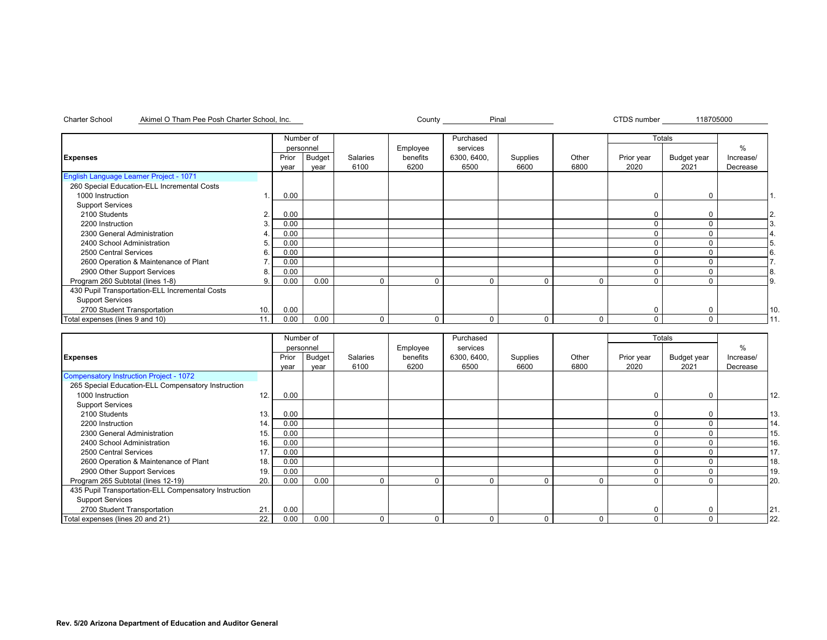| Charter School<br>Akimel O Tham Pee Posh Charter School. In |
|-------------------------------------------------------------|
|-------------------------------------------------------------|

nc. Pinal County County Pinal

CTDS number 118705000

|                                                |     | Number of |        |          |          | Purchased   |          |       |            | Totals      |               |     |
|------------------------------------------------|-----|-----------|--------|----------|----------|-------------|----------|-------|------------|-------------|---------------|-----|
|                                                |     | personnel |        |          | Employee | services    |          |       |            |             | $\frac{0}{0}$ |     |
| <b>Expenses</b>                                |     | Prior     | Budget | Salaries | benefits | 6300, 6400, | Supplies | Other | Prior year | Budget year | Increase/     |     |
|                                                |     | year      | year   | 6100     | 6200     | 6500        | 6600     | 6800  | 2020       | 2021        | Decrease      |     |
| <b>English Language Learner Project - 1071</b> |     |           |        |          |          |             |          |       |            |             |               |     |
| 260 Special Education-ELL Incremental Costs    |     |           |        |          |          |             |          |       |            |             |               |     |
| 1000 Instruction                               |     | 0.00      |        |          |          |             |          |       | C          | $\Omega$    |               |     |
| <b>Support Services</b>                        |     |           |        |          |          |             |          |       |            |             |               |     |
| 2100 Students                                  | 2.  | 0.00      |        |          |          |             |          |       | 0          | $\Omega$    |               | 2.  |
| 2200 Instruction                               |     | 0.00      |        |          |          |             |          |       | C          | $\Omega$    |               | ΙЗ. |
| 2300 General Administration                    |     | 0.00      |        |          |          |             |          |       |            |             |               |     |
| 2400 School Administration                     | 5.  | 0.00      |        |          |          |             |          |       |            |             |               | 5.  |
| 2500 Central Services                          | 6.  | 0.00      |        |          |          |             |          |       |            |             |               | 6.  |
| 2600 Operation & Maintenance of Plant          |     | 0.00      |        |          |          |             |          |       |            |             |               |     |
| 2900 Other Support Services                    | 8   | 0.00      |        |          |          |             |          |       |            |             |               | 8.  |
| Program 260 Subtotal (lines 1-8)               | 9   | 0.00      | 0.00   |          |          |             | $\Omega$ |       |            |             |               | 9.  |
| 430 Pupil Transportation-ELL Incremental Costs |     |           |        |          |          |             |          |       |            |             |               |     |
| <b>Support Services</b>                        |     |           |        |          |          |             |          |       |            |             |               |     |
| 2700 Student Transportation                    | 10. | 0.00      |        |          |          |             |          |       | 0          | 0           |               | 10. |
| Total expenses (lines 9 and 10)                | 11. | 0.00      | 0.00   | $\Omega$ | $\Omega$ | $\Omega$    | $\Omega$ | 0     | 0          | $\Omega$    |               | 111 |

|                                                       |     | Number of |           |          |          | Purchased   |          |             | Totals     |             |           |     |
|-------------------------------------------------------|-----|-----------|-----------|----------|----------|-------------|----------|-------------|------------|-------------|-----------|-----|
|                                                       |     |           | personnel |          | Employee | services    |          |             |            |             | %         |     |
| <b>Expenses</b>                                       |     | Prior     | Budget    | Salaries | benefits | 6300, 6400, | Supplies | Other       | Prior year | Budget year | Increase/ |     |
|                                                       |     | year      | year      | 6100     | 6200     | 6500        | 6600     | 6800        | 2020       | 2021        | Decrease  |     |
| Compensatory Instruction Project - 1072               |     |           |           |          |          |             |          |             |            |             |           |     |
| 265 Special Education-ELL Compensatory Instruction    |     |           |           |          |          |             |          |             |            |             |           |     |
| 1000 Instruction                                      | 12. | 0.00      |           |          |          |             |          |             | $\Omega$   |             |           | 12. |
| <b>Support Services</b>                               |     |           |           |          |          |             |          |             |            |             |           |     |
| 2100 Students                                         | 13. | 0.00      |           |          |          |             |          |             |            |             |           | 13. |
| 2200 Instruction                                      | 14. | 0.00      |           |          |          |             |          |             |            |             |           | 14. |
| 2300 General Administration                           | 15. | 0.00      |           |          |          |             |          |             |            |             |           | 15. |
| 2400 School Administration                            | 16. | 0.00      |           |          |          |             |          |             |            |             |           | 16. |
| 2500 Central Services                                 | 17. | 0.00      |           |          |          |             |          |             |            |             |           | 17. |
| 2600 Operation & Maintenance of Plant                 | 18. | 0.00      |           |          |          |             |          |             |            |             |           | 18. |
| 2900 Other Support Services                           | 19. | 0.00      |           |          |          |             |          |             | $\Omega$   | n           |           | 19. |
| Program 265 Subtotal (lines 12-19)                    | 20. | 0.00      | 0.00      | $\Omega$ |          |             | 0        | $\mathbf 0$ | 0          | $\Omega$    |           | 20. |
| 435 Pupil Transportation-ELL Compensatory Instruction |     |           |           |          |          |             |          |             |            |             |           |     |
| <b>Support Services</b>                               |     |           |           |          |          |             |          |             |            |             |           |     |
| 2700 Student Transportation                           | 21. | 0.00      |           |          |          |             |          |             | 0          |             |           | 21. |
| Total expenses (lines 20 and 21)                      | 22. | 0.00      | 0.00      | $\Omega$ |          |             | 0        | 0           | 0          | $\Omega$    |           | 22. |